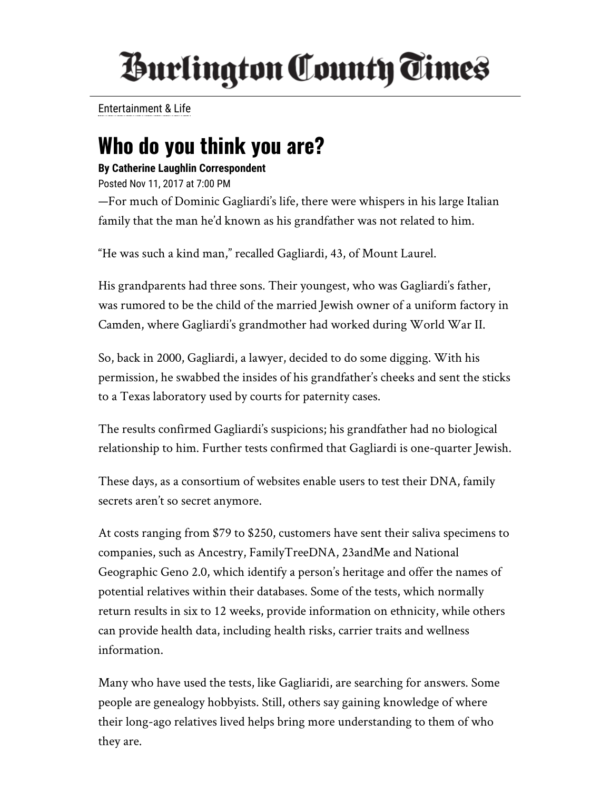## *<u>Burlington County Times</u>*

[Entertainment &](http://www.burlingtoncountytimes.com/search?text=Entertainment%20%26%20Life) Life

## Who do you think you are?

## By Catherine Laughlin Correspondent

Posted Nov 11, 2017 at 7:00 PM

—For much of Dominic Gagliardi's life, there were whispers in his large Italian family that the man he'd known as his grandfather was not related to him.

"He was such a kind man," recalled Gagliardi, 43, of Mount Laurel.

His grandparents had three sons. Their youngest, who was Gagliardi's father, was rumored to be the child of the married Jewish owner of a uniform factory in Camden, where Gagliardi's grandmother had worked during World War II.

So, back in 2000, Gagliardi, a lawyer, decided to do some digging. With his permission, he swabbed the insides of his grandfather's cheeks and sent the sticks to a Texas laboratory used by courts for paternity cases.

The results confirmed Gagliardi's suspicions; his grandfather had no biological relationship to him. Further tests confirmed that Gagliardi is one-quarter Jewish.

These days, as a consortium of websites enable users to test their DNA, family secrets aren't so secret anymore.

At costs ranging from \$79 to \$250, customers have sent their saliva specimens to companies, such as Ancestry, FamilyTreeDNA, 23andMe and National Geographic Geno 2.0, which identify a person's heritage and offer the names of potential relatives within their databases. Some of the tests, which normally return results in six to 12 weeks, provide information on ethnicity, while others can provide health data, including health risks, carrier traits and wellness information.

Many who have used the tests, like Gagliaridi, are searching for answers. Some people are genealogy hobbyists. Still, others say gaining knowledge of where their long-ago relatives lived helps bring more understanding to them of who they are.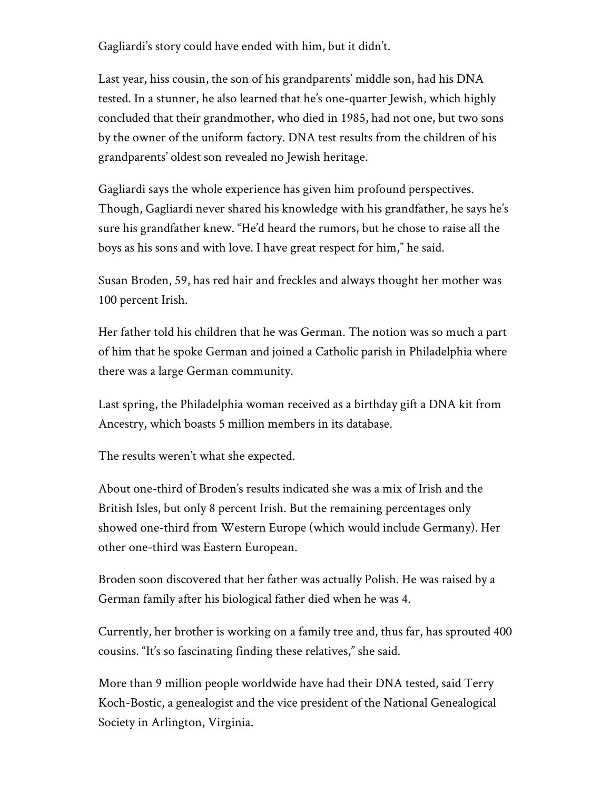Gagliardi's story could have ended with him, but it didn't.

Last year, hiss cousin, the son of his grandparents' middle son, had his DNA tested. In a stunner, he also learned that he's one-quarter Jewish, which highly concluded that their grandmother, who died in 1985, had not one, but two sons by the owner of the uniform factory. DNA test results from the children of his grandparents' oldest son revealed no Jewish heritage.

Gagliardi says the whole experience has given him profound perspectives. Though, Gagliardi never shared his knowledge with his grandfather, he says he's sure his grandfather knew. "He'd heard the rumors, but he chose to raise all the boys as his sons and with love. I have great respect for him," he said.

Susan Broden, 59, has red hair and freckles and always thought her mother was 100 percent Irish.

Her father told his children that he was German. The notion was so much a part of him that he spoke German and joined a Catholic parish in Philadelphia where there was a large German community.

Last spring, the Philadelphia woman received as a birthday gift a DNA kit from Ancestry, which boasts 5 million members in its database.

The results weren't what she expected.

About one-third of Broden's results indicated she was a mix of Irish and the British Isles, but only 8 percent Irish. But the remaining percentages only showed one-third from Western Europe (which would include Germany). Her other one-third was Eastern European.

Broden soon discovered that her father was actually Polish. He was raised by a German family after his biological father died when he was 4.

Currently, her brother is working on a family tree and, thus far, has sprouted 400 cousins. "It's so fascinating finding these relatives," she said.

More than 9 million people worldwide have had their DNA tested, said Terry Koch-Bostic, a genealogist and the vice president of the National Genealogical Society in Arlington, Virginia.